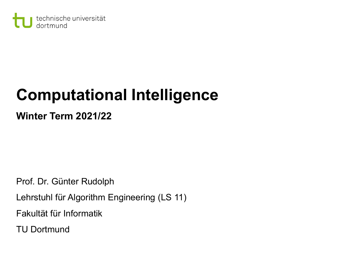

# **Computational Intelligence**

**Winter Term 2021/22**

Prof. Dr. Günter Rudolph

Lehrstuhl für Algorithm Engineering (LS 11)

Fakultät für Informatik

TU Dortmund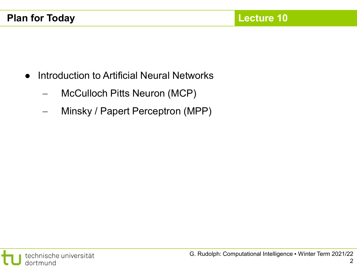- Introduction to Artificial Neural Networks
	- − McCulloch Pitts Neuron (MCP)
	- − Minsky / Papert Perceptron (MPP)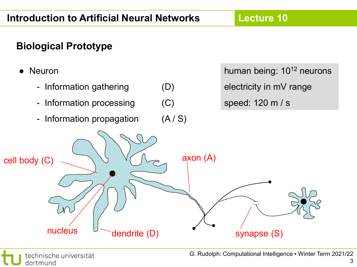#### **Biological Prototype**



3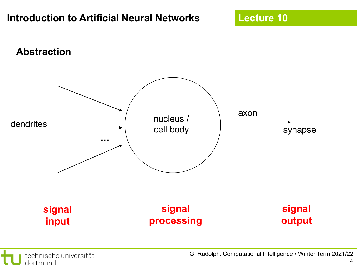**Lecture 10**

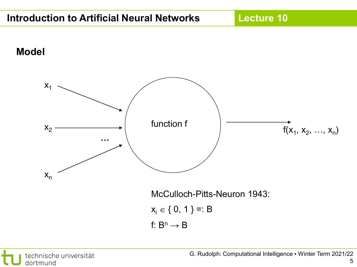

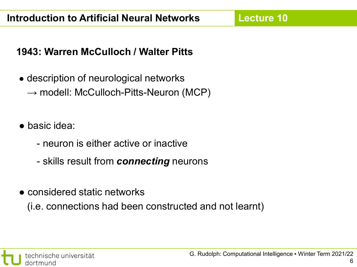#### **1943: Warren McCulloch / Walter Pitts**

- description of neurological networks  $\rightarrow$  modell: McCulloch-Pitts-Neuron (MCP)
- basic idea:
	- neuron is either active or inactive
	- skills result from *connecting* neurons
- considered static networks

(i.e. connections had been constructed and not learnt)

6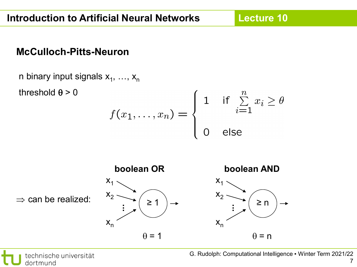**Lecture 10**

#### **McCulloch-Pitts-Neuron**

n binary input signals  $x_1, \ldots, x_n$ threshold  $\theta$  > 0  $f(x_1,...,x_n) = \begin{cases} 1 & \text{if } \sum\limits_{i=1}^n x_i \geq \theta \\ 0 & \text{else} \end{cases}$ **boolean OR boolean AND**  $x_1$  $x_1$  $x_2$   $x_2$  $\Rightarrow$  can be realized: ≥ 1 ≥ n **... ...**  $X_n$  $X_n$  $\theta = 1$  $\theta$  = n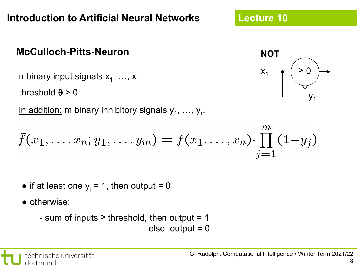#### **McCulloch-Pitts-Neuron**

n binary input signals  $x_1, ..., x_n$ 

threshold  $\theta$  > 0

in addition: m binary inhibitory signals  $y_1, ..., y_m$ 

$$
\tilde{f}(x_1, \ldots, x_n; y_1, \ldots, y_m) = f(x_1, \ldots, x_n) \cdot \prod_{j=1}^m (1 - y_j)
$$

- if at least one  $y_i = 1$ , then output = 0
- otherwise:
	- sum of inputs  $\geq$  threshold, then output = 1
		- else output  $= 0$



 $\infty$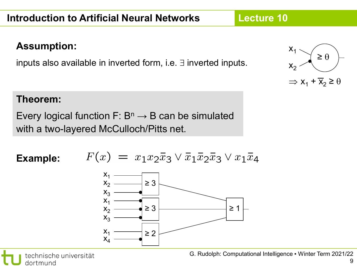#### **Assumption:**

inputs also available in inverted form, i.e. ∃ inverted inputs.

#### **Theorem:**

Every logical function F:  $B<sup>n</sup> \rightarrow B$  can be simulated with a two-layered McCulloch/Pitts net.

**Example:**







**Lecture 10**

 $\Rightarrow$  x<sub>1</sub> +  $\overline{X}_2 \ge \theta$ 

≥ θ

 $x_1$ 

 $X_{2}$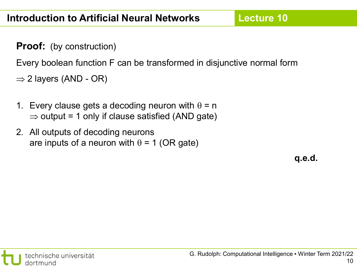**Proof:** (by construction)

Every boolean function F can be transformed in disjunctive normal form

- $\Rightarrow$  2 layers (AND OR)
- 1. Every clause gets a decoding neuron with  $\theta$  = n  $\Rightarrow$  output = 1 only if clause satisfied (AND gate)
- 2. All outputs of decoding neurons are inputs of a neuron with  $\theta = 1$  (OR gate)

**q.e.d.**

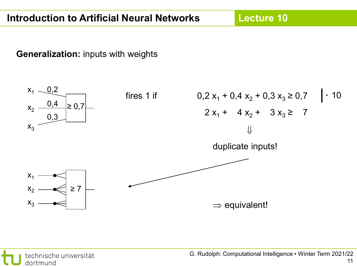**Lecture 10**

**Generalization:** inputs with weights



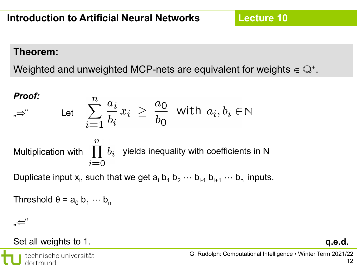#### **Theorem:**

Weighted and unweighted MCP-nets are equivalent for weights  $\in \mathbb{Q}^+$ .

**Proof:**  
\n
$$
\lim_{n \to \infty} \text{Let } \sum_{i=1}^{n} \frac{a_i}{b_i} x_i \geq \frac{a_0}{b_0} \text{ with } a_i, b_i \in \mathbb{N}
$$
\nMultiplication with 
$$
\prod_{i=0}^{n} b_i
$$
 yields inequality with coefficients in N

Duplicate input  $x_i$ , such that we get  $a_i$   $b_1$   $b_2$   $\cdots$   $b_{i-1}$   $b_{i+1}$   $\cdots$   $b_n$  inputs.

Threshold  $\theta$  =  $a_0$   $b_1$   $\cdots$   $b_n$ 

"⇐"

#### Set all weights to 1. **q.e.d.**

technische universität dortmund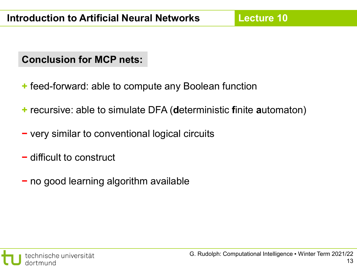#### **Conclusion for MCP nets:**

- **+** feed-forward: able to compute any Boolean function
- **+** recursive: able to simulate DFA (**d**eterministic **f**inite **a**utomaton)
- **−** very similar to conventional logical circuits
- **−** difficult to construct
- **−** no good learning algorithm available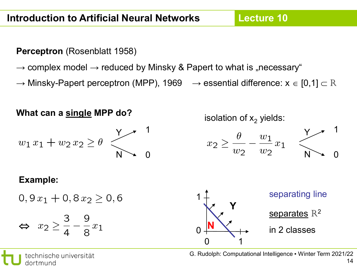**Lecture 10**

**Perceptron** (Rosenblatt 1958)

dortmund

- $\rightarrow$  complex model  $\rightarrow$  reduced by Minsky & Papert to what is "necessary"
- $\rightarrow$  Minsky-Papert perceptron (MPP), 1969  $\rightarrow$  essential difference:  $x \in [0,1] \subset \mathbb{R}$

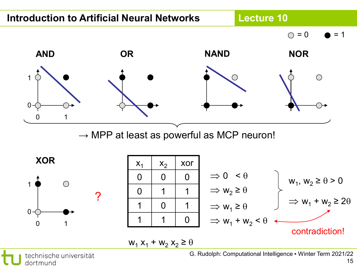

technische universität dortmund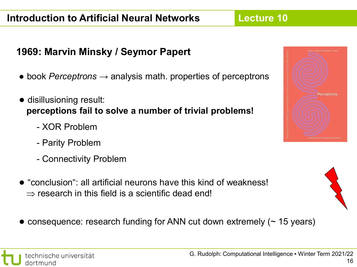#### **1969: Marvin Minsky / Seymor Papert**

- book *Perceptrons* → analysis math. properties of perceptrons
- disillusioning result: **perceptions fail to solve a number of trivial problems!**
	- XOR Problem
	- Parity Problem
	- Connectivity Problem
- $\bullet$  "conclusion": all artificial neurons have this kind of weakness!  $\Rightarrow$  research in this field is a scientific dead end!
- $\bullet$  consequence: research funding for ANN cut down extremely ( $\sim$  15 years)



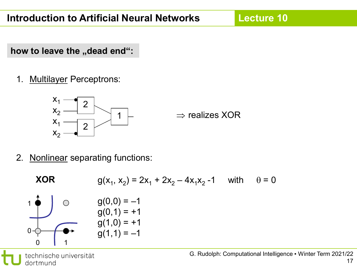how to leave the "dead end":

1. Multilayer Perceptrons:



1  $\;\vdash\; \; \; \; \Rightarrow$  realizes XOR

2. Nonlinear separating functions:

XOR  
\n
$$
g(x_1, x_2) = 2x_1 + 2x_2 - 4x_1x_2 - 1
$$
 with  $\theta = 0$   
\n $g(0, 0) = -1$   
\n $g(0, 1) = +1$   
\n $g(1, 0) = +1$   
\n $g(1, 1) = -1$ 

technische universität dortmund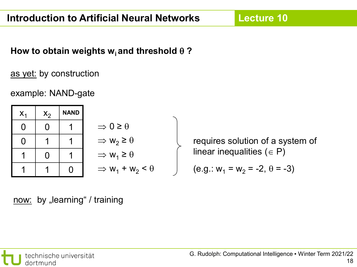#### How to obtain weights  $w_i$  and threshold  $\theta$  ?

#### as yet: by construction

#### example: NAND-gate

| $X_1$ | $X_2$ | <b>NAND</b> |                                            |
|-------|-------|-------------|--------------------------------------------|
| U     |       |             | $\Rightarrow$ 0 $\ge$                      |
| 0     |       |             | $\Rightarrow$ W <sub>2</sub> $\Rightarrow$ |
|       | 0     |             | $\Rightarrow$ W <sub>1</sub> :             |
|       |       |             | $\Rightarrow$ W <sub>1</sub> .             |

$$
\Rightarrow 0 \ge \theta
$$
  
\n
$$
\Rightarrow w_2 \ge \theta
$$
  
\n
$$
\Rightarrow w_1 \ge \theta
$$
  
\n
$$
\Rightarrow w_1 + w_2 < \theta
$$

requires solution of a system of linear inequalities ( $\in$  P)

(e.g.: 
$$
w_1 = w_2 = -2, \theta = -3
$$
)

now: by "learning" / training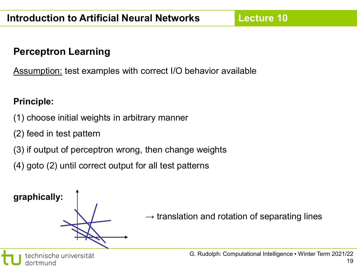#### **Perceptron Learning**

Assumption: test examples with correct I/O behavior available

#### **Principle:**

- (1) choose initial weights in arbitrary manner
- (2) feed in test pattern
- (3) if output of perceptron wrong, then change weights
- (4) goto (2) until correct output for all test patterns

**graphically:**

 $\rightarrow$  translation and rotation of separating lines

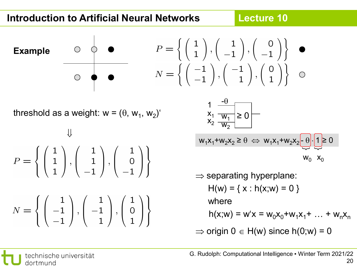#### **Introduction to Artificial Neural Networks**

**Lecture 10**

**Exampl** 

\n
$$
P = \left\{ \begin{pmatrix} 1 \\ 1 \end{pmatrix}, \begin{pmatrix} 1 \\ -1 \end{pmatrix}, \begin{pmatrix} 0 \\ -1 \end{pmatrix} \right\}
$$
\n

\n\n $N = \left\{ \begin{pmatrix} -1 \\ -1 \end{pmatrix}, \begin{pmatrix} -1 \\ 1 \end{pmatrix}, \begin{pmatrix} 0 \\ 1 \end{pmatrix} \right\}$ \n

threshold as a weight:  $w = (\theta, w_1, w_2)'$ 

$$
P = \left\{ \begin{pmatrix} 1 \\ 1 \\ 1 \end{pmatrix}, \begin{pmatrix} 1 \\ 1 \\ -1 \end{pmatrix}, \begin{pmatrix} 1 \\ 0 \\ -1 \end{pmatrix} \right\}
$$

$$
N = \left\{ \begin{pmatrix} 1 \\ -1 \\ -1 \end{pmatrix}, \begin{pmatrix} 1 \\ -1 \\ 1 \end{pmatrix}, \begin{pmatrix} 1 \\ 0 \\ 1 \end{pmatrix} \right\}
$$

$$
1 - \frac{\theta}{x_1} \frac{1}{w_1} \ge 0
$$
  

$$
w_1 x_1 + w_2 x_2 \ge \theta \iff w_1 x_1 + w_2 x_2 - \theta \cdot (1) \ge 0
$$
  

$$
w_0 \quad x_0
$$

$$
\Rightarrow
$$
 separating hyperplane:  
\nH(w) = { x : h(x;w) = 0 }  
\nwhere  
\nh(x;w) = w'x = w<sub>0</sub>x<sub>0</sub>+w<sub>1</sub>x<sub>1</sub>+ ... + w<sub>n</sub>x<sub>n</sub>  
\n
$$
\Rightarrow
$$
 origin 0 ∈ H(w) since h(0;w) = 0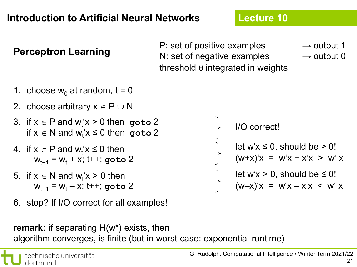**P: set of positive examples → output 1<br>N: set of negative examples → output 0** N: set of negative examples threshold  $\theta$  integrated in weights

**Lecture 10**

- 1. choose  $w_0$  at random, t = 0
- 2. choose arbitrary  $x \in P \cup N$
- 3. if  $x \in P$  and  $w_t$ ' $x > 0$  then goto 2  $if x \in N$  and  $w_t$ ' $x \leq 0$  then goto 2
- 4. if  $x \in P$  and  $w_t$ ' $x \le 0$  then  $W_{t+1} = W_t + x$ ; t++; goto 2
- 5. if  $x \in N$  and  $w_t$ ' $x > 0$  then  $W_{t+1} = W_t - X$ ; t++; goto 2
- 6. stop? If I/O correct for all examples!

**remark:** if separating H(w\*) exists, then algorithm converges, is finite (but in worst case: exponential runtime)

I/O correct! let w'x > 0, should be  $\leq 0!$ let  $w'x \leq 0$ , should be  $> 0!$  $(W+x)'x = W'x + x'x > W'x$ 

 $(w-x)'x = w'x - x'x < w' x$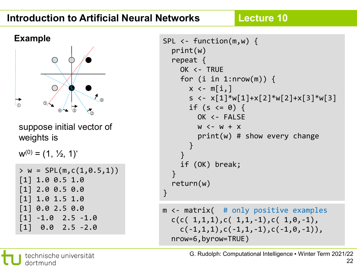### **Introduction to Artificial Neural Networks**

**Lecture 10**



suppose initial vector of weights is

 $w^{(0)} = (1, 1/2, 1)^t$ 

```
> w = SPL(m, c(1, 0.5, 1))
[1] 1.0 0.5 1.0
[1] 2.0 0.5 0.0
[1] 1.0 1.5 1.0
[1] 0.0 2.5 0.0
\begin{bmatrix} 1 & -1.0 & 2.5 & -1.0 \end{bmatrix}\begin{bmatrix} 1 \end{bmatrix} 0.0 2.5 -2.0
```

```
SPL \leftarrow function(m,w) {
  print(w)
  repeat {
    OK <- TRUE
    for (i in 1:nrow(m)) {
      x \leftarrow m[i, ]s \leftarrow x[1]*w[1]+x[2]*w[2]+x[3]*w[3]if (s \leq 0) {
         OK <- FALSE
         W < -W + Xprint(w) # show every change
      }
    }
    if (OK) break;
  }
  return(w)
}
m <- matrix( # only positive examples
  c(c( 1,1,1),c( 1,1,-1),c( 1,0,-1),c(-1,1,1),c(-1,1,-1),c(-1,0,-1)),
```
nrow=6,byrow=TRUE)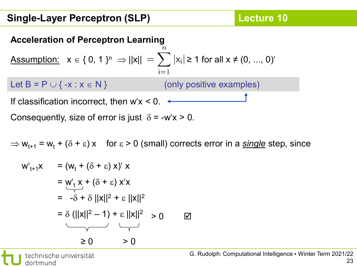## **Acceleration of Perceptron Learning** Assumption:  $x \in \{0, 1\}^n$  ⇒  $||x|| = \sum |x_i| \ge 1$  for all  $x \ne (0, ..., 0)^t$  $i=1$ Let  $B = P \cup \{ -x : x \in N \}$  (only positive examples) If classification incorrect, then  $w' x < 0$ .

Consequently, size of error is just  $\delta$  = -w'x > 0.

$$
\Rightarrow
$$
 w<sub>t+1</sub> = w<sub>t</sub> + ( $\delta$  +  $\epsilon$ ) x for  $\epsilon$  > 0 (small) corrects error in a single step, since

$$
w'_{t+1}x = (w_t + (\delta + \varepsilon) x)' x
$$
  
= 
$$
w'_t x + (\delta + \varepsilon) x'x
$$
  
= 
$$
-\delta + \delta ||x||^2 + \varepsilon ||x||^2
$$
  
= 
$$
\delta (||x||^2 - 1) + \varepsilon ||x||^2 > 0
$$

technische universität dortmund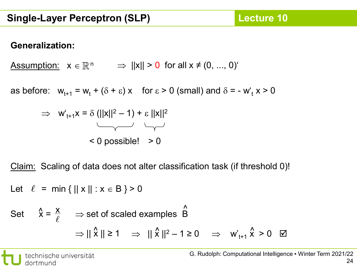#### **Generalization:**

 $\begin{array}{lll} \Delta \text{s} \text{s} \text{umption:} & \text{x} \in \mathbb{R}^{\, \text{n}} & \Rightarrow & \text{||x||} \text{ > 0} \text{ for all x} \neq (0, \, ... , \, 0)^\text{c} \end{array}$ 

as before:  $w_{t+1} = w_t + (\delta + \varepsilon) x$  for  $\varepsilon > 0$  (small) and  $\delta = -w_t x > 0$ 



Claim: Scaling of data does not alter classification task (if threshold 0)!

Let 
$$
\ell = \min \{ ||x|| : x \in B \} > 0
$$

Set 
$$
\hat{x} = \frac{x}{\ell} \implies
$$
 set of scaled examples  $\hat{B}$   
\n $\implies || \hat{x} || \ge 1 \implies || \hat{x} ||^2 - 1 \ge 0 \implies w'_{t+1} \hat{x} > 0 \quad \text{or}$ 

technische universität dortmund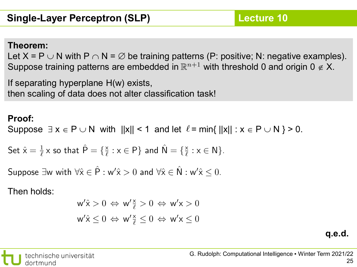#### **Theorem:**

Let X = P  $\cup$  N with P  $\cap$  N =  $\varnothing$  be training patterns (P: positive; N: negative examples). Suppose training patterns are embedded in  $\mathbb{R}^{n+1}$  with threshold 0 and origin 0  $\notin$  X.

If separating hyperplane H(w) exists, then scaling of data does not alter classification task!

#### **Proof:**

Suppose  $\exists x \in P \cup N$  with  $||x|| \leq 1$  and let  $\ell$  = min{  $||x|| : x \in P \cup N$  } > 0.

Set 
$$
\hat{x} = \frac{1}{\ell} x
$$
 so that  $\hat{P} = \{\frac{x}{\ell} : x \in P\}$  and  $\hat{N} = \{\frac{x}{\ell} : x \in N\}$ .

Suppose  $\exists w$  with  $\forall \hat{x} \in \hat{P} : w' \hat{x} > 0$  and  $\forall \hat{x} \in \hat{N} : w' \hat{x} \leq 0$ .

Then holds:

$$
w' \hat{x} > 0 \Leftrightarrow w' \frac{x}{\ell} > 0 \Leftrightarrow w' x > 0
$$
  

$$
w' \hat{x} \le 0 \Leftrightarrow w' \frac{x}{\ell} \le 0 \Leftrightarrow w' x \le 0
$$

**q.e.d.**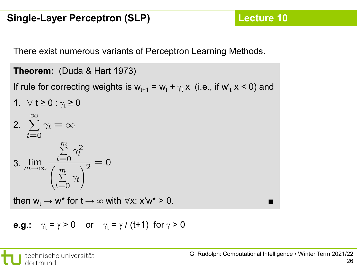There exist numerous variants of Perceptron Learning Methods.

```
Theorem: (Duda & Hart 1973)
 If rule for correcting weights is w_{t+1} = w_t + \gamma_t x (i.e., if w_t x < 0) and
 1. \forall t ≥ 0 : \gamma_t ≥ 0
2. \sum_{t=0}^{\infty} \gamma_t = \infty3. \lim_{m \to \infty} \frac{\sum\limits_{t=0}^{m} \gamma_t^2}{\left(\sum\limits_{t=0}^{m} \gamma_t\right)^2} = 0then w_t \rightarrow w^* for t \rightarrow \infty with \forall x: x'w^* > 0.
```
**e.g.**: 
$$
\gamma_t = \gamma > 0
$$
 or  $\gamma_t = \gamma / (t+1)$  for  $\gamma > 0$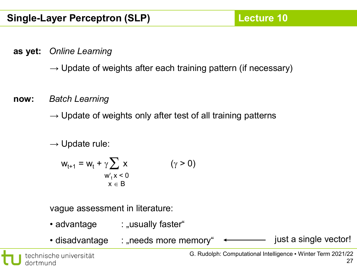**as yet:** *Online Learning*

 $\rightarrow$  Update of weights after each training pattern (if necessary)

**now:** *Batch Learning*

 $\rightarrow$  Update of weights only after test of all training patterns

 $\rightarrow$  Update rule:

$$
w_{t+1} = w_t + \gamma \sum_{\substack{w'_t x < 0 \\ x \in B}} x \qquad (\gamma > 0)
$$

vague assessment in literature:

- advantage : "usually faster"
- disadvantage : "needs more memory"  $\longleftarrow$  just a single vector!

technische universität dortmund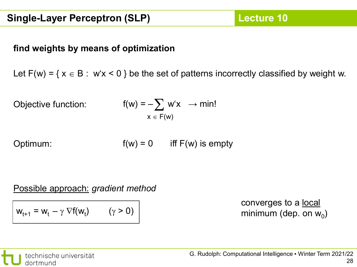#### **find weights by means of optimization**

Let  $F(w) = \{ x \in B : w'x < 0 \}$  be the set of patterns incorrectly classified by weight w.

Objective function:

$$
f(w) = -\sum_{x \in F(w)} w'x \rightarrow min!
$$

Optimum: f(v

$$
w) = 0 \qquad \text{iff } F(w) \text{ is empty}
$$

Possible approach: *gradient method*

$$
w_{t+1} = w_t - \gamma \nabla f(w_t) \qquad (\gamma > 0)
$$

converges to a local minimum (dep. on  $w_0$ )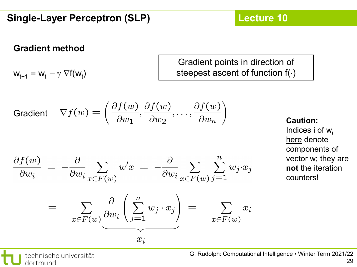#### **Gradient method**

 $w_{t+1} = w_t - \gamma \nabla f(w_t)$ 

Gradient points in direction of steepest ascent of function f(⋅)

Gradient 
$$
\nabla f(w) = \left(\frac{\partial f(w)}{\partial w_1}, \frac{\partial f(w)}{\partial w_2}, \dots, \frac{\partial f(w)}{\partial w_n}\right)
$$

$$
\frac{\partial f(w)}{\partial w_i} = -\frac{\partial}{\partial w_i} \sum_{x \in F(w)} w' x = -\frac{\partial}{\partial w_i} \sum_{x \in F(w)} \sum_{j=1}^n w_j \cdot x_j
$$

$$
= - \sum_{x \in F(w)} \frac{\partial}{\partial w_i} \left( \sum_{j=1}^n w_j \cdot x_j \right) = - \sum_{x \in F(w)} x_i
$$

**Caution:** Indices i of  $w_i$ here denote components of vector w; they are **not** the iteration

counters!

technische universität dortmund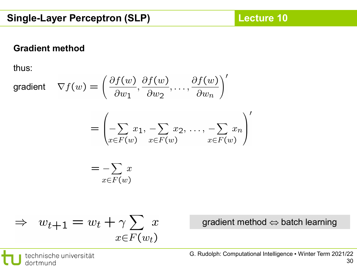#### **Gradient method**

thus:

gradient 
$$
\nabla f(w) = \left(\frac{\partial f(w)}{\partial w_1}, \frac{\partial f(w)}{\partial w_2}, \dots, \frac{\partial f(w)}{\partial w_n}\right)'
$$
  
\n
$$
= \left(\sum_{x \in F(w)} x_1, \sum_{x \in F(w)} x_2, \dots, \sum_{x \in F(w)} x_n\right)'
$$
\n
$$
= \sum_{x \in F(w)} x
$$

$$
\Rightarrow w_{t+1} = w_t + \gamma \sum_{x \in F(w_t)} x
$$

gradient method ⇔ batch learning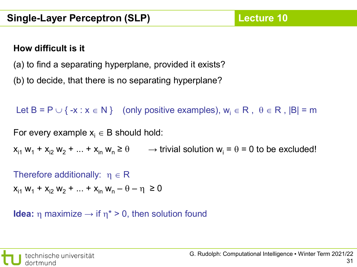#### **How difficult is it**

(a) to find a separating hyperplane, provided it exists?

(b) to decide, that there is no separating hyperplane?

Let B = P  $\cup$  { -x : x  $\in$  N } (only positive examples),  $w_i \in R$ ,  $\theta \in R$ ,  $|B|$  = m

For every example  $x_i \in B$  should hold:

 $x_{i1}$  w<sub>1</sub> +  $x_{i2}$  w<sub>2</sub> + ... +  $x_{in}$  w<sub>n</sub>  $\geq \theta$   $\longrightarrow$  trivial solution w<sub>i</sub> =  $\theta$  = 0 to be excluded!

Therefore additionally:  $\eta \in \mathsf{R}$  $x_{i1}$  w<sub>1</sub> +  $x_{i2}$  w<sub>2</sub> + ... +  $x_{in}$  w<sub>n</sub> –  $\theta$  –  $\eta \ge 0$ 

**Idea:** η maximize  $\rightarrow$  if  $\eta^* > 0$ , then solution found